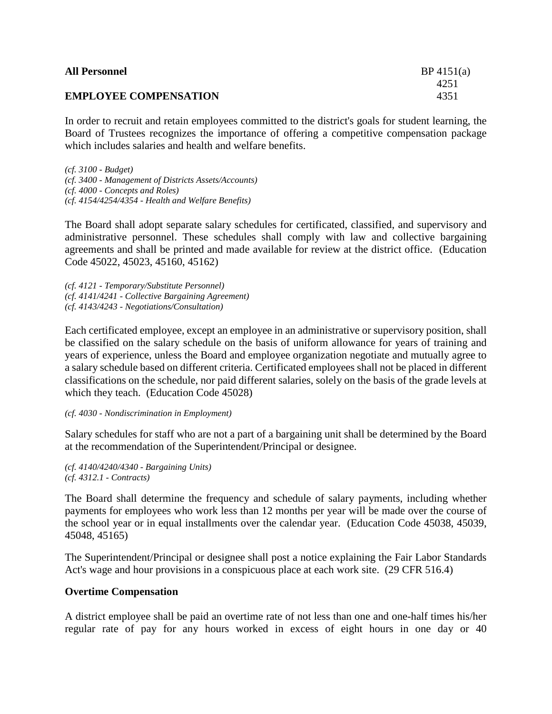| <b>All Personnel</b>         | BP 4151(a) |
|------------------------------|------------|
|                              | 4251       |
| <b>EMPLOYEE COMPENSATION</b> | 4351       |

In order to recruit and retain employees committed to the district's goals for student learning, the Board of Trustees recognizes the importance of offering a competitive compensation package which includes salaries and health and welfare benefits.

*(cf. 3100 - Budget) (cf. 3400 - Management of Districts Assets/Accounts) (cf. 4000 - Concepts and Roles) (cf. 4154/4254/4354 - Health and Welfare Benefits)*

The Board shall adopt separate salary schedules for certificated, classified, and supervisory and administrative personnel. These schedules shall comply with law and collective bargaining agreements and shall be printed and made available for review at the district office. (Education Code 45022, 45023, 45160, 45162)

*(cf. 4121 - Temporary/Substitute Personnel) (cf. 4141/4241 - Collective Bargaining Agreement) (cf. 4143/4243 - Negotiations/Consultation)*

Each certificated employee, except an employee in an administrative or supervisory position, shall be classified on the salary schedule on the basis of uniform allowance for years of training and years of experience, unless the Board and employee organization negotiate and mutually agree to a salary schedule based on different criteria. Certificated employees shall not be placed in different classifications on the schedule, nor paid different salaries, solely on the basis of the grade levels at which they teach. (Education Code 45028)

*(cf. 4030 - Nondiscrimination in Employment)*

Salary schedules for staff who are not a part of a bargaining unit shall be determined by the Board at the recommendation of the Superintendent/Principal or designee.

*(cf. 4140/4240/4340 - Bargaining Units) (cf. 4312.1 - Contracts)*

The Board shall determine the frequency and schedule of salary payments, including whether payments for employees who work less than 12 months per year will be made over the course of the school year or in equal installments over the calendar year. (Education Code 45038, 45039, 45048, 45165)

The Superintendent/Principal or designee shall post a notice explaining the Fair Labor Standards Act's wage and hour provisions in a conspicuous place at each work site. (29 CFR 516.4)

## **Overtime Compensation**

A district employee shall be paid an overtime rate of not less than one and one-half times his/her regular rate of pay for any hours worked in excess of eight hours in one day or 40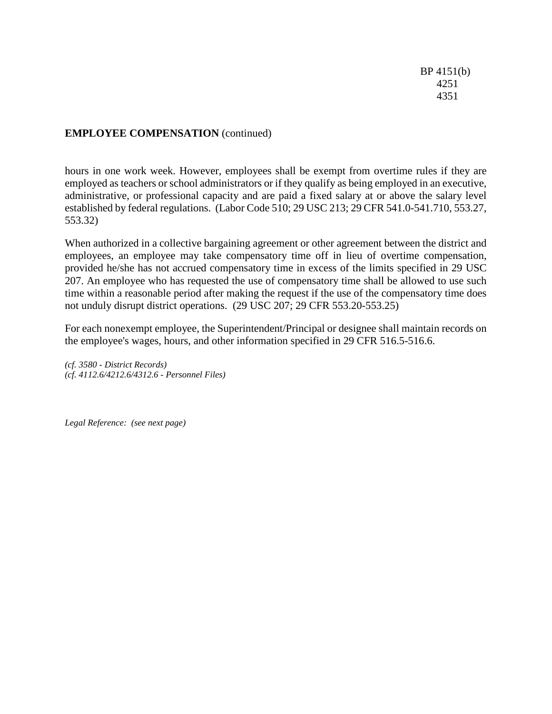BP 4151(b) 4251 4351

## **EMPLOYEE COMPENSATION** (continued)

hours in one work week. However, employees shall be exempt from overtime rules if they are employed as teachers or school administrators or if they qualify as being employed in an executive, administrative, or professional capacity and are paid a fixed salary at or above the salary level established by federal regulations. (Labor Code 510; 29 USC 213; 29 CFR 541.0-541.710, 553.27, 553.32)

When authorized in a collective bargaining agreement or other agreement between the district and employees, an employee may take compensatory time off in lieu of overtime compensation, provided he/she has not accrued compensatory time in excess of the limits specified in 29 USC 207. An employee who has requested the use of compensatory time shall be allowed to use such time within a reasonable period after making the request if the use of the compensatory time does not unduly disrupt district operations. (29 USC 207; 29 CFR 553.20-553.25)

For each nonexempt employee, the Superintendent/Principal or designee shall maintain records on the employee's wages, hours, and other information specified in 29 CFR 516.5-516.6.

*(cf. 3580 - District Records) (cf. 4112.6/4212.6/4312.6 - Personnel Files)*

*Legal Reference: (see next page)*